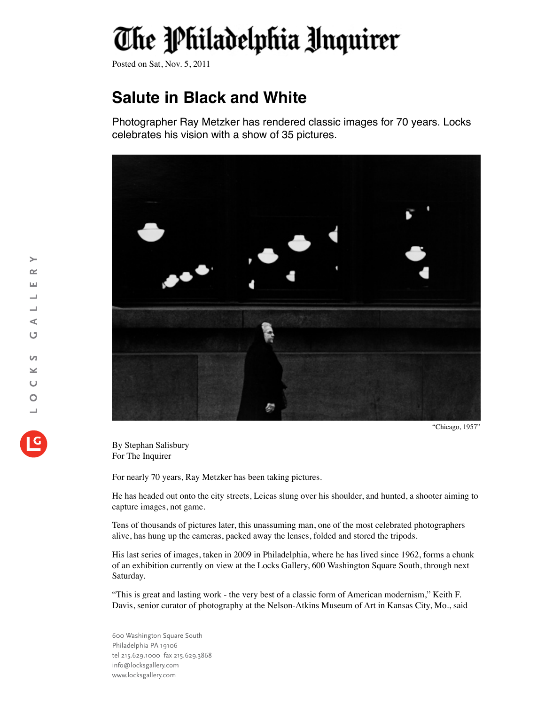## The Philadelphia Unquirer

Posted on Sat, Nov. 5, 2011

## **Salute in Black and White**

Photographer Ray Metzker has rendered classic images for 70 years. Locks celebrates his vision with a show of 35 pictures.



"Chicago, 1957"

By Stephan Salisbury For The Inquirer

For nearly 70 years, Ray Metzker has been taking pictures.

He has headed out onto the city streets, Leicas slung over his shoulder, and hunted, a shooter aiming to capture images, not game.

Tens of thousands of pictures later, this unassuming man, one of the most celebrated photographers alive, has hung up the cameras, packed away the lenses, folded and stored the tripods.

His last series of images, taken in 2009 in Philadelphia, where he has lived since 1962, forms a chunk of an exhibition currently on view at the Locks Gallery, 600 Washington Square South, through next Saturday.

"This is great and lasting work - the very best of a classic form of American modernism," Keith F. Davis, senior curator of photography at the Nelson-Atkins Museum of Art in Kansas City, Mo., said

600 Washington Square South Philadelphia PA 19106 tel 215.629.1000 fax 215.629.3868 info@locksgallery.com www.locksgallery.com

 $\geq$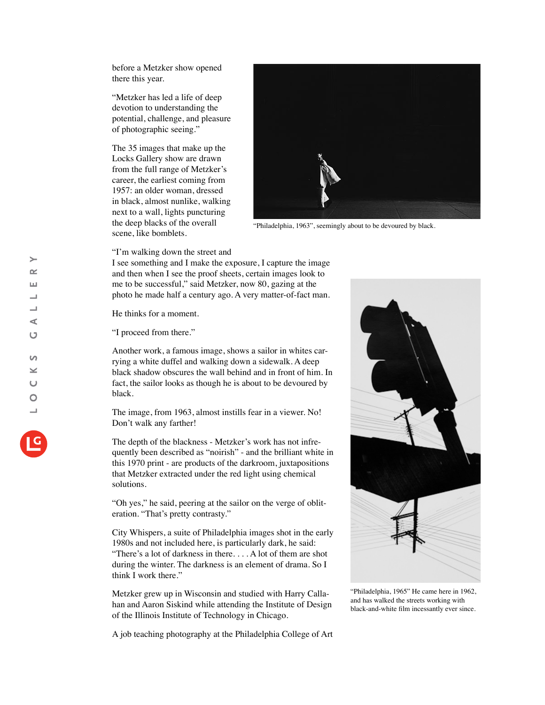before a Metzker show opened there this year.

"Metzker has led a life of deep devotion to understanding the potential, challenge, and pleasure of photographic seeing."

The 35 images that make up the Locks Gallery show are drawn from the full range of Metzker's career, the earliest coming from 1957: an older woman, dressed in black, almost nunlike, walking next to a wall, lights puncturing the deep blacks of the overall scene, like bomblets.



"Philadelphia, 1963", seemingly about to be devoured by black.

"I'm walking down the street and

I see something and I make the exposure, I capture the image and then when I see the proof sheets, certain images look to me to be successful," said Metzker, now 80, gazing at the photo he made half a century ago. A very matter-of-fact man.

He thinks for a moment.

"I proceed from there."

Another work, a famous image, shows a sailor in whites carrying a white duffel and walking down a sidewalk. A deep black shadow obscures the wall behind and in front of him. In fact, the sailor looks as though he is about to be devoured by black.

The image, from 1963, almost instills fear in a viewer. No! Don't walk any farther!

The depth of the blackness - Metzker's work has not infrequently been described as "noirish" - and the brilliant white in this 1970 print - are products of the darkroom, juxtapositions that Metzker extracted under the red light using chemical solutions.

"Oh yes," he said, peering at the sailor on the verge of obliteration. "That's pretty contrasty."

City Whispers, a suite of Philadelphia images shot in the early 1980s and not included here, is particularly dark, he said: "There's a lot of darkness in there. . . . A lot of them are shot during the winter. The darkness is an element of drama. So I think I work there."

Metzker grew up in Wisconsin and studied with Harry Callahan and Aaron Siskind while attending the Institute of Design of the Illinois Institute of Technology in Chicago.

A job teaching photography at the Philadelphia College of Art



"Philadelphia, 1965" He came here in 1962, and has walked the streets working with black-and-white film incessantly ever since.

 $\rightarrow$